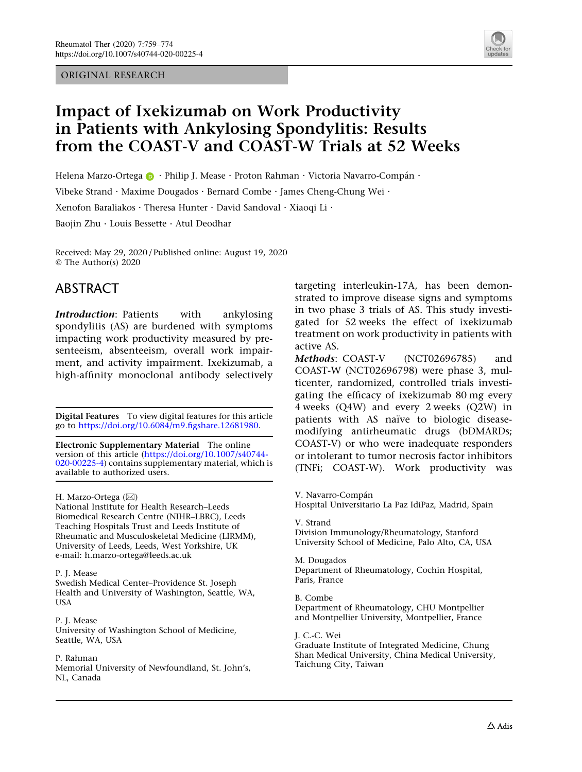#### ORIGINAL RESEARCH



# Impact of Ixekizumab on Work Productivity in Patients with Ankylosing Spondylitis: Results from the COAST-V and COAST-W Trials at 52 Weeks

Helen[a](http://orcid.org/0000-0002-9683-3407) Marzo-Ortega  $\bullet \cdot$  Philip J. Mease  $\cdot$  Proton Rahman  $\cdot$  Victoria Navarro-Compán  $\cdot$ 

Vibeke Strand · Maxime Dougados · Bernard Combe · James Cheng-Chung Wei ·

Xenofon Baraliakos · Theresa Hunter · David Sandoval · Xiaoqi Li ·

Baojin Zhu . Louis Bessette . Atul Deodhar

Received: May 29, 2020 / Published online: August 19, 2020 © The Author(s) 2020

## ABSTRACT

Introduction: Patients with ankylosing spondylitis (AS) are burdened with symptoms impacting work productivity measured by presenteeism, absenteeism, overall work impairment, and activity impairment. Ixekizumab, a high-affinity monoclonal antibody selectively

Digital Features To view digital features for this article go to [https://doi.org/10.6084/m9.figshare.12681980.](https://doi.org/10.6084/m9.figshare.12681980)

Electronic Supplementary Material The online version of this article ([https://doi.org/10.1007/s40744-](https://doi.org/10.1007/s40744-020-00225-4) [020-00225-4](https://doi.org/10.1007/s40744-020-00225-4)) contains supplementary material, which is available to authorized users.

H. Marzo-Ortega (⊠)

National Institute for Health Research–Leeds Biomedical Research Centre (NIHR–LBRC), Leeds Teaching Hospitals Trust and Leeds Institute of Rheumatic and Musculoskeletal Medicine (LIRMM), University of Leeds, Leeds, West Yorkshire, UK e-mail: h.marzo-ortega@leeds.ac.uk

#### P. J. Mease

Swedish Medical Center–Providence St. Joseph Health and University of Washington, Seattle, WA, USA

P. J. Mease University of Washington School of Medicine, Seattle, WA, USA

#### P. Rahman

Memorial University of Newfoundland, St. John's, NL, Canada

targeting interleukin-17A, has been demonstrated to improve disease signs and symptoms in two phase 3 trials of AS. This study investigated for 52 weeks the effect of ixekizumab treatment on work productivity in patients with active AS.

Methods: COAST-V (NCT02696785) and COAST-W (NCT02696798) were phase 3, multicenter, randomized, controlled trials investigating the efficacy of ixekizumab 80 mg every 4 weeks (Q4W) and every 2 weeks (Q2W) in patients with AS naïve to biologic diseasemodifying antirheumatic drugs (bDMARDs; COAST-V) or who were inadequate responders or intolerant to tumor necrosis factor inhibitors (TNFi; COAST-W). Work productivity was

V. Navarro-Compán Hospital Universitario La Paz IdiPaz, Madrid, Spain

V. Strand Division Immunology/Rheumatology, Stanford University School of Medicine, Palo Alto, CA, USA

M. Dougados Department of Rheumatology, Cochin Hospital, Paris, France

B. Combe Department of Rheumatology, CHU Montpellier and Montpellier University, Montpellier, France

J. C.-C. Wei Graduate Institute of Integrated Medicine, Chung Shan Medical University, China Medical University, Taichung City, Taiwan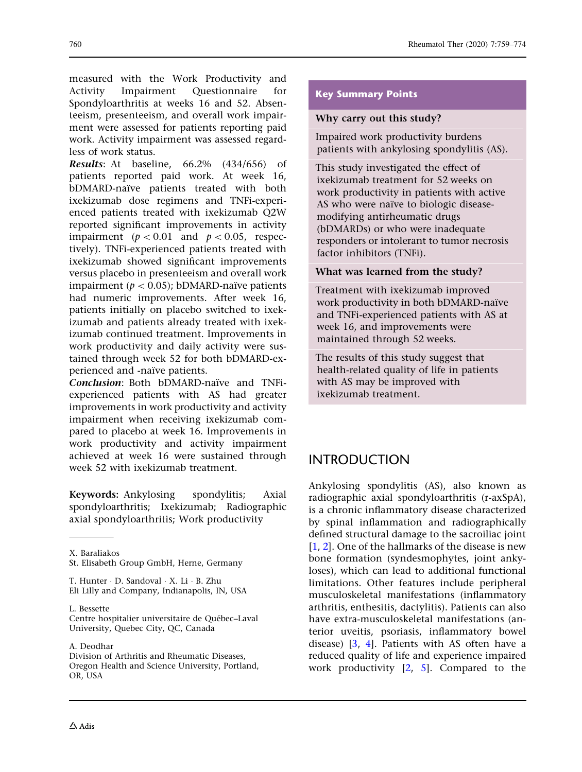measured with the Work Productivity and Activity Impairment Questionnaire for Spondyloarthritis at weeks 16 and 52. Absenteeism, presenteeism, and overall work impairment were assessed for patients reporting paid work. Activity impairment was assessed regardless of work status.

Results: At baseline, 66.2% (434/656) of patients reported paid work. At week 16, bDMARD-naïve patients treated with both ixekizumab dose regimens and TNFi-experienced patients treated with ixekizumab Q2W reported significant improvements in activity impairment ( $p < 0.01$  and  $p < 0.05$ , respectively). TNFi-experienced patients treated with ixekizumab showed significant improvements versus placebo in presenteeism and overall work impairment ( $p < 0.05$ ); bDMARD-naïve patients had numeric improvements. After week 16, patients initially on placebo switched to ixekizumab and patients already treated with ixekizumab continued treatment. Improvements in work productivity and daily activity were sustained through week 52 for both bDMARD-experienced and -naïve patients.

Conclusion: Both bDMARD-naïve and TNFiexperienced patients with AS had greater improvements in work productivity and activity impairment when receiving ixekizumab compared to placebo at week 16. Improvements in work productivity and activity impairment achieved at week 16 were sustained through week 52 with ixekizumab treatment.

Keywords: Ankylosing spondylitis; Axial spondyloarthritis; Ixekizumab; Radiographic axial spondyloarthritis; Work productivity

L. Bessette

A. Deodhar

Division of Arthritis and Rheumatic Diseases, Oregon Health and Science University, Portland, OR, USA

#### Key Summary Points

#### Why carry out this study?

Impaired work productivity burdens patients with ankylosing spondylitis (AS).

This study investigated the effect of ixekizumab treatment for 52 weeks on work productivity in patients with active AS who were naïve to biologic diseasemodifying antirheumatic drugs (bDMARDs) or who were inadequate responders or intolerant to tumor necrosis factor inhibitors (TNFi).

#### What was learned from the study?

Treatment with ixekizumab improved work productivity in both bDMARD-naïve and TNFi-experienced patients with AS at week 16, and improvements were maintained through 52 weeks.

The results of this study suggest that health-related quality of life in patients with AS may be improved with ixekizumab treatment.

### INTRODUCTION

Ankylosing spondylitis (AS), also known as radiographic axial spondyloarthritis (r-axSpA), is a chronic inflammatory disease characterized by spinal inflammation and radiographically defined structural damage to the sacroiliac joint [\[1](#page-14-0), [2](#page-14-0)]. One of the hallmarks of the disease is new bone formation (syndesmophytes, joint ankyloses), which can lead to additional functional limitations. Other features include peripheral musculoskeletal manifestations (inflammatory arthritis, enthesitis, dactylitis). Patients can also have extra-musculoskeletal manifestations (anterior uveitis, psoriasis, inflammatory bowel disease) [\[3](#page-14-0), [4\]](#page-14-0). Patients with AS often have a reduced quality of life and experience impaired work productivity [[2,](#page-14-0) [5\]](#page-14-0). Compared to the

X. Baraliakos

St. Elisabeth Group GmbH, Herne, Germany

T. Hunter - D. Sandoval - X. Li - B. Zhu Eli Lilly and Company, Indianapolis, IN, USA

Centre hospitalier universitaire de Québec-Laval University, Quebec City, QC, Canada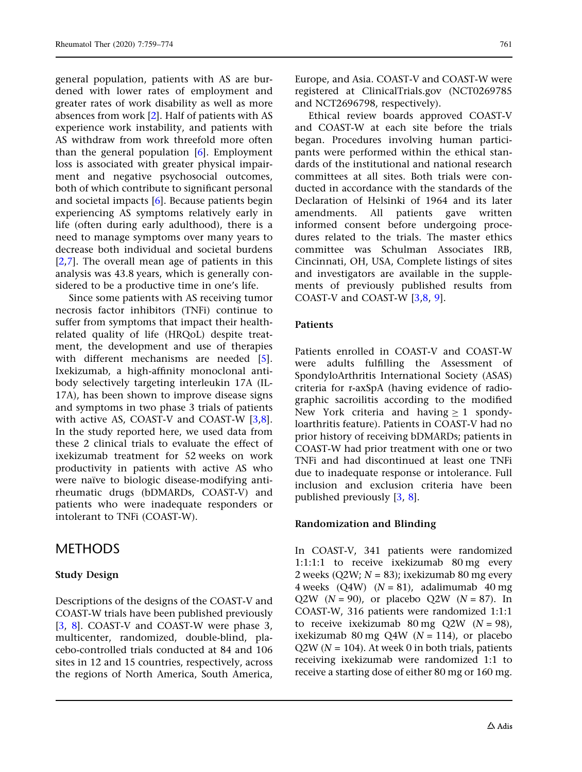general population, patients with AS are burdened with lower rates of employment and greater rates of work disability as well as more absences from work [\[2](#page-14-0)]. Half of patients with AS experience work instability, and patients with AS withdraw from work threefold more often than the general population [[6\]](#page-14-0). Employment loss is associated with greater physical impairment and negative psychosocial outcomes, both of which contribute to significant personal and societal impacts  $[6]$  $[6]$ . Because patients begin experiencing AS symptoms relatively early in life (often during early adulthood), there is a need to manage symptoms over many years to decrease both individual and societal burdens [\[2,7](#page-14-0)]. The overall mean age of patients in this analysis was 43.8 years, which is generally considered to be a productive time in one's life.

Since some patients with AS receiving tumor necrosis factor inhibitors (TNFi) continue to suffer from symptoms that impact their healthrelated quality of life (HRQoL) despite treatment, the development and use of therapies with different mechanisms are needed [\[5\]](#page-14-0). Ixekizumab, a high-affinity monoclonal antibody selectively targeting interleukin 17A (IL-17A), has been shown to improve disease signs and symptoms in two phase 3 trials of patients with active AS, COAST-V and COAST-W [[3,8\]](#page-14-0). In the study reported here, we used data from these 2 clinical trials to evaluate the effect of ixekizumab treatment for 52 weeks on work productivity in patients with active AS who were naïve to biologic disease-modifying antirheumatic drugs (bDMARDs, COAST-V) and patients who were inadequate responders or intolerant to TNFi (COAST-W).

### METHODS

#### Study Design

Descriptions of the designs of the COAST-V and COAST-W trials have been published previously [\[3,](#page-14-0) [8](#page-14-0)]. COAST-V and COAST-W were phase 3, multicenter, randomized, double-blind, placebo-controlled trials conducted at 84 and 106 sites in 12 and 15 countries, respectively, across the regions of North America, South America,

Europe, and Asia. COAST-V and COAST-W were registered at ClinicalTrials.gov (NCT0269785 and NCT2696798, respectively).

Ethical review boards approved COAST-V and COAST-W at each site before the trials began. Procedures involving human participants were performed within the ethical standards of the institutional and national research committees at all sites. Both trials were conducted in accordance with the standards of the Declaration of Helsinki of 1964 and its later amendments. All patients gave written informed consent before undergoing procedures related to the trials. The master ethics committee was Schulman Associates IRB, Cincinnati, OH, USA, Complete listings of sites and investigators are available in the supplements of previously published results from COAST-V and COAST-W [\[3,8](#page-14-0), [9](#page-14-0)].

#### Patients

Patients enrolled in COAST-V and COAST-W were adults fulfilling the Assessment of SpondyloArthritis International Society (ASAS) criteria for r-axSpA (having evidence of radiographic sacroilitis according to the modified New York criteria and having  $> 1$  spondyloarthritis feature). Patients in COAST-V had no prior history of receiving bDMARDs; patients in COAST-W had prior treatment with one or two TNFi and had discontinued at least one TNFi due to inadequate response or intolerance. Full inclusion and exclusion criteria have been published previously [[3,](#page-14-0) [8\]](#page-14-0).

#### Randomization and Blinding

In COAST-V, 341 patients were randomized 1:1:1:1 to receive ixekizumab 80 mg every 2 weeks (Q2W;  $N = 83$ ); ixekizumab 80 mg every 4 weeks  $(Q4W)$   $(N = 81)$ , adalimumab 40 mg Q2W  $(N = 90)$ , or placebo Q2W  $(N = 87)$ . In COAST-W, 316 patients were randomized 1:1:1 to receive ixekizumab  $80 \text{ mg }$  Q2W (N = 98), ixekizumab 80 mg Q4W ( $N = 114$ ), or placebo  $Q2W (N = 104)$ . At week 0 in both trials, patients receiving ixekizumab were randomized 1:1 to receive a starting dose of either 80 mg or 160 mg.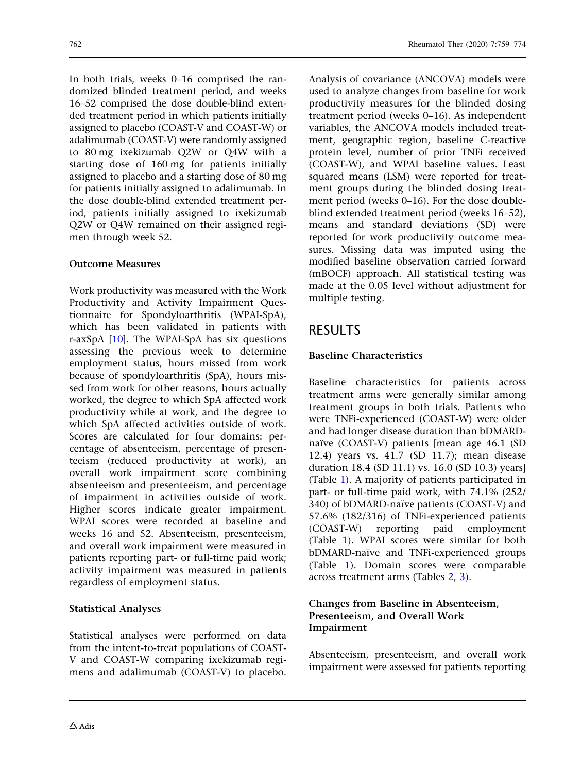In both trials, weeks 0–16 comprised the randomized blinded treatment period, and weeks 16–52 comprised the dose double-blind extended treatment period in which patients initially assigned to placebo (COAST-V and COAST-W) or adalimumab (COAST-V) were randomly assigned to 80 mg ixekizumab Q2W or Q4W with a starting dose of 160 mg for patients initially assigned to placebo and a starting dose of 80 mg for patients initially assigned to adalimumab. In the dose double-blind extended treatment period, patients initially assigned to ixekizumab Q2W or Q4W remained on their assigned regimen through week 52.

#### Outcome Measures

Work productivity was measured with the Work Productivity and Activity Impairment Questionnaire for Spondyloarthritis (WPAI-SpA), which has been validated in patients with r-axSpA  $[10]$  $[10]$ . The WPAI-SpA has six questions assessing the previous week to determine employment status, hours missed from work because of spondyloarthritis (SpA), hours missed from work for other reasons, hours actually worked, the degree to which SpA affected work productivity while at work, and the degree to which SpA affected activities outside of work. Scores are calculated for four domains: percentage of absenteeism, percentage of presenteeism (reduced productivity at work), an overall work impairment score combining absenteeism and presenteeism, and percentage of impairment in activities outside of work. Higher scores indicate greater impairment. WPAI scores were recorded at baseline and weeks 16 and 52. Absenteeism, presenteeism, and overall work impairment were measured in patients reporting part- or full-time paid work; activity impairment was measured in patients regardless of employment status.

#### Statistical Analyses

Statistical analyses were performed on data from the intent-to-treat populations of COAST-V and COAST-W comparing ixekizumab regimens and adalimumab (COAST-V) to placebo. Analysis of covariance (ANCOVA) models were used to analyze changes from baseline for work productivity measures for the blinded dosing treatment period (weeks 0–16). As independent variables, the ANCOVA models included treatment, geographic region, baseline C-reactive protein level, number of prior TNFi received (COAST-W), and WPAI baseline values. Least squared means (LSM) were reported for treatment groups during the blinded dosing treatment period (weeks 0–16). For the dose doubleblind extended treatment period (weeks 16–52), means and standard deviations (SD) were reported for work productivity outcome measures. Missing data was imputed using the modified baseline observation carried forward (mBOCF) approach. All statistical testing was made at the 0.05 level without adjustment for multiple testing.

## RESULTS

### Baseline Characteristics

Baseline characteristics for patients across treatment arms were generally similar among treatment groups in both trials. Patients who were TNFi-experienced (COAST-W) were older and had longer disease duration than bDMARDnaïve (COAST-V) patients [mean age 46.1 (SD 12.4) years vs. 41.7 (SD 11.7); mean disease duration 18.4 (SD 11.1) vs. 16.0 (SD 10.3) years] (Table [1\)](#page-4-0). A majority of patients participated in part- or full-time paid work, with 74.1% (252/ 340) of bDMARD-naïve patients (COAST-V) and 57.6% (182/316) of TNFi-experienced patients (COAST-W) reporting paid employment (Table [1\)](#page-4-0). WPAI scores were similar for both bDMARD-naïve and TNFi-experienced groups (Table [1](#page-4-0)). Domain scores were comparable across treatment arms (Tables [2](#page-5-0), [3](#page-6-0)).

#### Changes from Baseline in Absenteeism, Presenteeism, and Overall Work Impairment

Absenteeism, presenteeism, and overall work impairment were assessed for patients reporting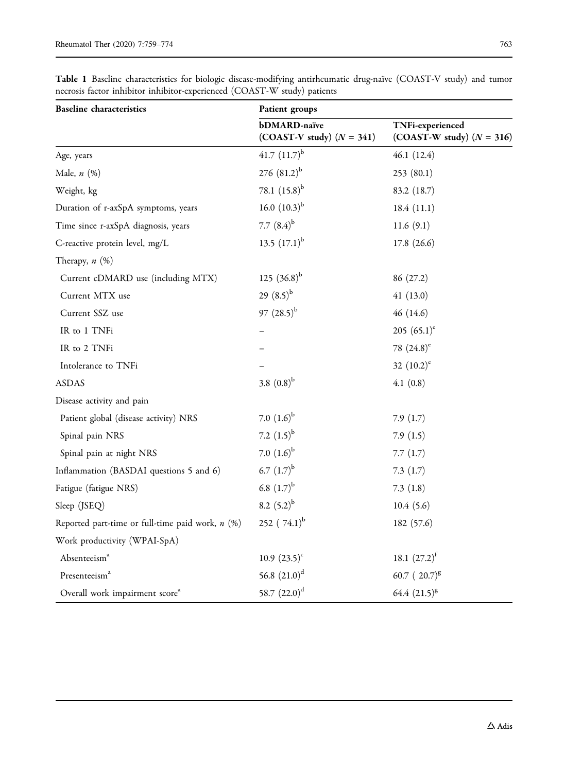| <b>Baseline</b> characteristics                    | Patient groups                              |                                                 |
|----------------------------------------------------|---------------------------------------------|-------------------------------------------------|
|                                                    | bDMARD-naïve<br>(COAST-V study) $(N = 341)$ | TNFi-experienced<br>(COAST-W study) $(N = 316)$ |
| Age, years                                         | 41.7 $(11.7)^{b}$                           | 46.1(12.4)                                      |
| Male, $n$ $(\%)$                                   | 276 $(81.2)^{b}$                            | 253(80.1)                                       |
| Weight, kg                                         | 78.1 $(15.8)^{b}$                           | 83.2 (18.7)                                     |
| Duration of r-axSpA symptoms, years                | 16.0 $(10.3)^{b}$                           | 18.4(11.1)                                      |
| Time since r-axSpA diagnosis, years                | 7.7 $(8.4)^{b}$                             | 11.6 $(9.1)$                                    |
| C-reactive protein level, mg/L                     | 13.5 $(17.1)^{b}$                           | 17.8(26.6)                                      |
| Therapy, $n$ $(\%)$                                |                                             |                                                 |
| Current cDMARD use (including MTX)                 | 125 $(36.8)^{b}$                            | 86 (27.2)                                       |
| Current MTX use                                    | 29 $(8.5)^{b}$                              | 41(13.0)                                        |
| Current SSZ use                                    | $97(28.5)^{b}$                              | 46 (14.6)                                       |
| IR to 1 TNFi                                       |                                             | 205 $(65.1)$ <sup>e</sup>                       |
| IR to 2 TNFi                                       |                                             | 78 $(24.8)^e$                                   |
| Intolerance to TNFi                                |                                             | 32 $(10.2)^e$                                   |
| <b>ASDAS</b>                                       | 3.8 $(0.8)^{b}$                             | 4.1(0.8)                                        |
| Disease activity and pain                          |                                             |                                                 |
| Patient global (disease activity) NRS              | 7.0 $(1.6)^{b}$                             | 7.9(1.7)                                        |
| Spinal pain NRS                                    | 7.2 $(1.5)^{b}$                             | 7.9(1.5)                                        |
| Spinal pain at night NRS                           | 7.0 $(1.6)^{b}$                             | 7.7(1.7)                                        |
| Inflammation (BASDAI questions 5 and 6)            | 6.7 $(1.7)^{b}$                             | 7.3(1.7)                                        |
| Fatigue (fatigue NRS)                              | 6.8 $(1.7)^{b}$                             | 7.3(1.8)                                        |
| Sleep (JSEQ)                                       | 8.2 $(5.2)^{b}$                             | 10.4(5.6)                                       |
| Reported part-time or full-time paid work, $n$ (%) | 252 $(74.1)^{b}$                            | 182 (57.6)                                      |
| Work productivity (WPAI-SpA)                       |                                             |                                                 |
| Absenteeism <sup>a</sup>                           | 10.9 $(23.5)^c$                             | 18.1 $(27.2)^f$                                 |
| Presenteeism <sup>a</sup>                          | 56.8 $(21.0)^d$                             | 60.7 $(20.7)^{8}$                               |
| Overall work impairment score <sup>a</sup>         | 58.7 $(22.0)^d$                             | 64.4 $(21.5)^{8}$                               |

<span id="page-4-0"></span>Table 1 Baseline characteristics for biologic disease-modifying antirheumatic drug-naïve (COAST-V study) and tumor necrosis factor inhibitor inhibitor-experienced (COAST-W study) patients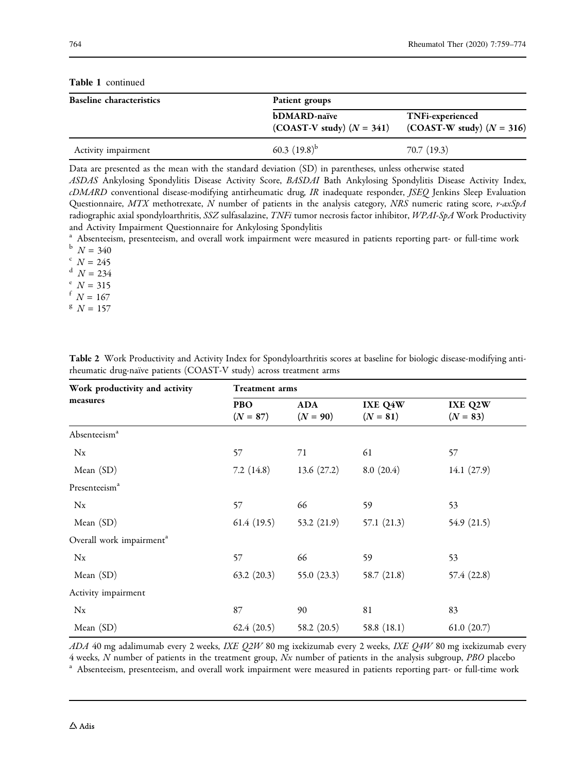| <b>Baseline characteristics</b> | Patient groups                                     |                                                        |
|---------------------------------|----------------------------------------------------|--------------------------------------------------------|
|                                 | <b>bDMARD-naïve</b><br>(COAST-V study) $(N = 341)$ | <b>TNFi-experienced</b><br>(COAST-W study) $(N = 316)$ |
| Activity impairment             | 60.3 $(19.8)^{b}$                                  | 70.7(19.3)                                             |

<span id="page-5-0"></span>Table 1 continued

Data are presented as the mean with the standard deviation (SD) in parentheses, unless otherwise stated

ASDAS Ankylosing Spondylitis Disease Activity Score, BASDAI Bath Ankylosing Spondylitis Disease Activity Index, cDMARD conventional disease-modifying antirheumatic drug, IR inadequate responder, JSEQ Jenkins Sleep Evaluation Questionnaire, MTX methotrexate, N number of patients in the analysis category, NRS numeric rating score,  $r$ -axSpA radiographic axial spondyloarthritis, SSZ sulfasalazine, TNFi tumor necrosis factor inhibitor, WPAI-SpA Work Productivity and Activity Impairment Questionnaire for Ankylosing Spondylitis

<sup>a</sup> Absenteeism, presenteeism, and overall work impairment were measured in patients reporting part- or full-time work  $N = 340$ <br>c  $N = 245$ 

 $\binom{d}{e} N = 234$ <br>  $N = 315$ 

- 
- $f N = 167$
- $N = 157$

| Work productivity and activity       | <b>Treatment arms</b> |                          |                       |                       |
|--------------------------------------|-----------------------|--------------------------|-----------------------|-----------------------|
| measures                             | PBO<br>$(N = 87)$     | <b>ADA</b><br>$(N = 90)$ | IXE Q4W<br>$(N = 81)$ | IXE Q2W<br>$(N = 83)$ |
| Absenteeism <sup>a</sup>             |                       |                          |                       |                       |
| $N_{X}$                              | 57                    | 71                       | 61                    | 57                    |
| Mean (SD)                            | 7.2(14.8)             | 13.6(27.2)               | 8.0(20.4)             | 14.1 $(27.9)$         |
| Presenteeism <sup>a</sup>            |                       |                          |                       |                       |
| $N_{X}$                              | 57                    | 66                       | 59                    | 53                    |
| Mean (SD)                            | 61.4(19.5)            | 53.2 $(21.9)$            | 57.1(21.3)            | 54.9 $(21.5)$         |
| Overall work impairment <sup>a</sup> |                       |                          |                       |                       |
| $N_{X}$                              | 57                    | 66                       | 59                    | 53                    |
| Mean (SD)                            | 63.2(20.3)            | 55.0 $(23.3)$            | 58.7 $(21.8)$         | 57.4 (22.8)           |
| Activity impairment                  |                       |                          |                       |                       |
| $N_{X}$                              | 87                    | 90                       | 81                    | 83                    |
| Mean (SD)                            | 62.4(20.5)            | 58.2 $(20.5)$            | 58.8 (18.1)           | 61.0(20.7)            |

Table 2 Work Productivity and Activity Index for Spondyloarthritis scores at baseline for biologic disease-modifying antirheumatic drug-naïve patients (COAST-V study) across treatment arms

ADA 40 mg adalimumab every 2 weeks, IXE Q2W 80 mg ixekizumab every 2 weeks, IXE Q4W 80 mg ixekizumab every  $4$  weeks,  $N$  number of patients in the treatment group,  $Nx$  number of patients in the analysis subgroup,  $PBO$  placebo  $a$ .<br>Absenteeism, presenteeism, and overall work impairment were measured in patients reporting part-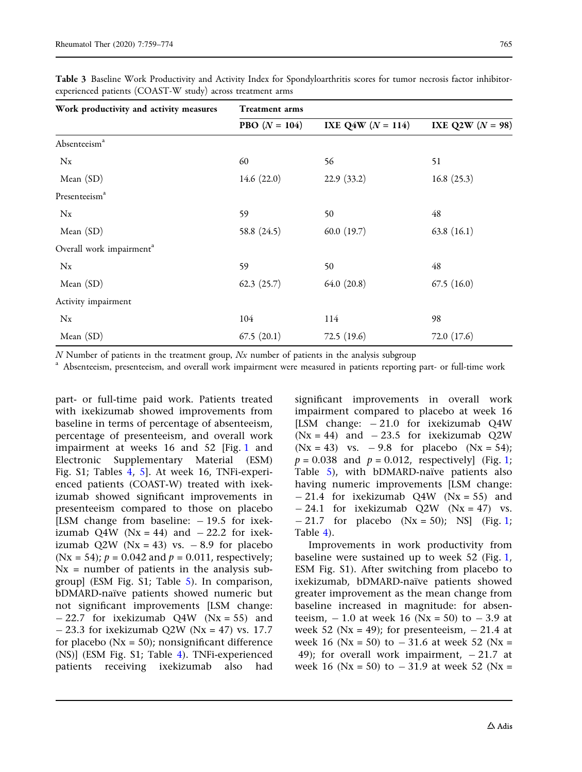| Work productivity and activity measures | <b>Treatment arms</b>  |                     |                    |
|-----------------------------------------|------------------------|---------------------|--------------------|
|                                         | <b>PBO</b> $(N = 104)$ | IXE Q4W $(N = 114)$ | IXE Q2W $(N = 98)$ |
| Absenteeism <sup>a</sup>                |                        |                     |                    |
| $N_{\rm X}$                             | 60                     | 56                  | 51                 |
| Mean $(SD)$                             | 14.6 $(22.0)$          | 22.9(33.2)          | 16.8(25.3)         |
| Presenteeism <sup>a</sup>               |                        |                     |                    |
| $N_{\rm X}$                             | 59                     | 50                  | 48                 |
| Mean (SD)                               | 58.8 (24.5)            | 60.0(19.7)          | 63.8(16.1)         |
| Overall work impairment <sup>a</sup>    |                        |                     |                    |
| $N_{\rm X}$                             | 59                     | 50                  | 48                 |
| Mean (SD)                               | 62.3(25.7)             | 64.0(20.8)          | 67.5(16.0)         |
| Activity impairment                     |                        |                     |                    |
| $N_{\rm X}$                             | 104                    | 114                 | 98                 |
| Mean (SD)                               | 67.5(20.1)             | 72.5(19.6)          | 72.0 (17.6)        |

<span id="page-6-0"></span>Table 3 Baseline Work Productivity and Activity Index for Spondyloarthritis scores for tumor necrosis factor inhibitorexperienced patients (COAST-W study) across treatment arms

 $N$  Number of patients in the treatment group,  $Nx$  number of patients in the analysis subgroup  $a^a$  Absenteeism, presenteeism, and overall work impairment were measured in patients reporting part- or full-time work

part- or full-time paid work. Patients treated with ixekizumab showed improvements from baseline in terms of percentage of absenteeism, percentage of presenteeism, and overall work impairment at weeks 16 and 52 [Fig. [1](#page-8-0) and Electronic Supplementary Material (ESM) Fig. S1; Tables [4,](#page-9-0) [5\]](#page-11-0). At week 16, TNFi-experienced patients (COAST-W) treated with ixekizumab showed significant improvements in presenteeism compared to those on placebo [LSM change from baseline:  $-19.5$  for ixekizumab Q4W ( $Nx = 44$ ) and  $-22.2$  for ixekizumab  $Q2W$  (Nx = 43) vs.  $-8.9$  for placebo (Nx = 54);  $p = 0.042$  and  $p = 0.011$ , respectively;  $Nx = number of patients in the analysis sub$ group] (ESM Fig. S1; Table [5\)](#page-11-0). In comparison, bDMARD-naïve patients showed numeric but not significant improvements [LSM change:  $- 22.7$  for ixekizumab Q4W (Nx = 55) and  $- 23.3$  for ixekizumab Q2W (Nx = 47) vs. 17.7 for placebo ( $Nx = 50$ ); nonsignificant difference (NS)] (ESM Fig. S1; Table [4\)](#page-9-0). TNFi-experienced patients receiving ixekizumab also had

significant improvements in overall work impairment compared to placebo at week 16 [LSM change:  $-21.0$  for ixekizumab Q4W  $(Nx = 44)$  and  $-23.5$  for ixekizumab Q2W  $(Nx = 43)$  vs.  $-9.8$  for placebo  $(Nx = 54)$ ;  $p = 0.038$  and  $p = 0.012$ , respectively] (Fig. [1;](#page-8-0) Table  $5$ ), with bDMARD-naïve patients also having numeric improvements [LSM change:  $-21.4$  for ixekizumab Q4W (Nx = 55) and  $- 24.1$  for ixekizumab Q2W (Nx = 47) vs.  $- 21.7$  for placebo (Nx = 50); NS] (Fig. [1;](#page-8-0) Table [4](#page-9-0)).

Improvements in work productivity from baseline were sustained up to week 52 (Fig. [1,](#page-8-0) ESM Fig. S1). After switching from placebo to ixekizumab, bDMARD-naïve patients showed greater improvement as the mean change from baseline increased in magnitude: for absenteeism,  $-1.0$  at week 16 (Nx = 50) to  $-3.9$  at week 52 ( $Nx = 49$ ); for presenteeism,  $-21.4$  at week 16 ( $Nx = 50$ ) to  $-31.6$  at week 52 ( $Nx =$ 49); for overall work impairment,  $-21.7$  at week 16 ( $Nx = 50$ ) to  $-31.9$  at week 52 ( $Nx =$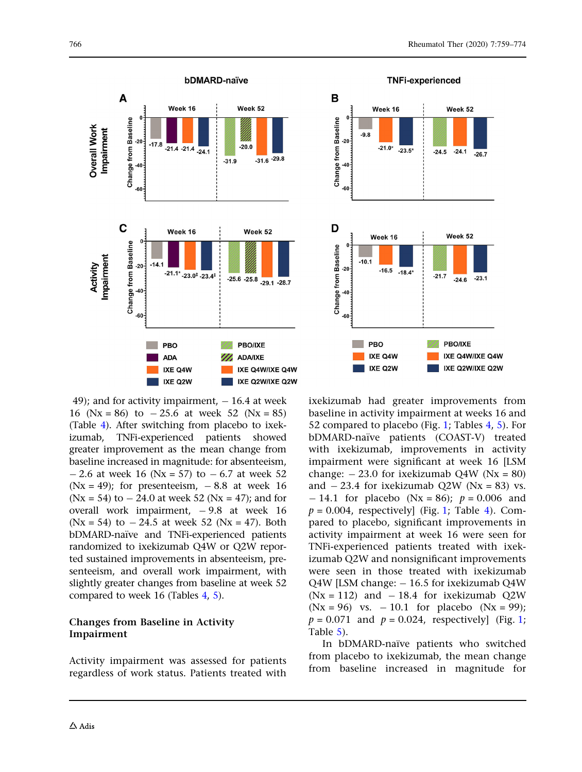

**TNFi-experienced** B Week 16 Week 52 Change from Baseline<br>ႏွစ်<br>ႏွစ်  $-9.8$  $-21.0*$  $-23.5'$  $-24.1$  $-24.5$  $-26.7$ D Week 16 Week 52 Change from Baseline<br>3.<br>3.  $\frac{b}{2}$  $-10.1$  $-16.5$   $-18.4*$  $-21.7$  $-23.1$  $-24.6$ PBO PBO/IXE IXE Q4W/IXE Q4W IXE Q4W IXE Q2W IXE Q2W/IXE Q2W

49); and for activity impairment,  $-16.4$  at week 16 ( $Nx = 86$ ) to  $-25.6$  at week 52 ( $Nx = 85$ ) (Table [4](#page-9-0)). After switching from placebo to ixekizumab, TNFi-experienced patients showed greater improvement as the mean change from baseline increased in magnitude: for absenteeism,  $- 2.6$  at week 16 (Nx = 57) to  $- 6.7$  at week 52  $(Nx = 49)$ ; for presenteeism,  $-8.8$  at week 16  $(Nx = 54)$  to  $- 24.0$  at week 52 (Nx = 47); and for overall work impairment,  $-9.8$  at week 16  $(Nx = 54)$  to  $-24.5$  at week 52 ( $Nx = 47$ ). Both bDMARD-naïve and TNFi-experienced patients randomized to ixekizumab Q4W or Q2W reported sustained improvements in absenteeism, presenteeism, and overall work impairment, with slightly greater changes from baseline at week 52 compared to week 16 (Tables [4,](#page-9-0) [5](#page-11-0)).

#### Changes from Baseline in Activity Impairment

Activity impairment was assessed for patients regardless of work status. Patients treated with ixekizumab had greater improvements from baseline in activity impairment at weeks 16 and 52 compared to placebo (Fig. [1](#page-8-0); Tables [4,](#page-9-0) [5](#page-11-0)). For bDMARD-naïve patients (COAST-V) treated with ixekizumab, improvements in activity impairment were significant at week 16 [LSM change:  $-23.0$  for ixekizumab Q4W (Nx = 80) and  $-23.4$  for ixekizumab Q2W (Nx = 83) vs.  $- 14.1$  for placebo (Nx = 86);  $p = 0.006$  and  $p = 0.004$  $p = 0.004$ , respectively] (Fig. [1](#page-8-0); Table 4). Compared to placebo, significant improvements in activity impairment at week 16 were seen for TNFi-experienced patients treated with ixekizumab Q2W and nonsignificant improvements were seen in those treated with ixekizumab Q4W [LSM change:  $-16.5$  for ixekizumab Q4W  $(Nx = 112)$  and  $-18.4$  for ixekizumab Q2W  $(Nx = 96)$  vs.  $-10.1$  for placebo  $(Nx = 99)$ ;  $p = 0.071$  and  $p = 0.024$ , respectively (Fig. [1;](#page-8-0) Table [5](#page-11-0)).

In bDMARD-naïve patients who switched from placebo to ixekizumab, the mean change from baseline increased in magnitude for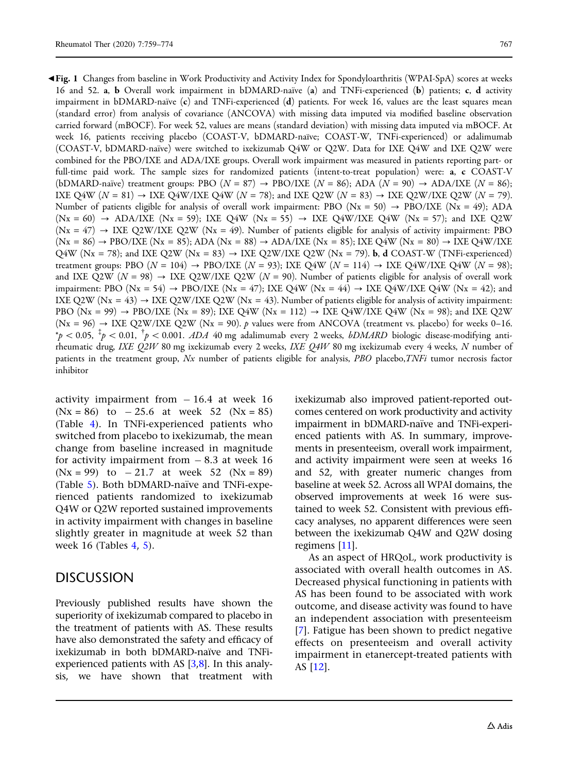<span id="page-8-0"></span>b Fig. 1 Changes from baseline in Work Productivity and Activity Index for Spondyloarthritis (WPAI-SpA) scores at weeks 16 and 52. a, b Overall work impairment in bDMARD-naïve (a) and TNFi-experienced (b) patients; c, d activity impairment in bDMARD-naïve  $(c)$  and TNFi-experienced  $(d)$  patients. For week 16, values are the least squares mean (standard error) from analysis of covariance (ANCOVA) with missing data imputed via modified baseline observation carried forward (mBOCF). For week 52, values are means (standard deviation) with missing data imputed via mBOCF. At week 16, patients receiving placebo (COAST-V, bDMARD-naïve; COAST-W, TNFi-experienced) or adalimumab (COAST-V, bDMARD-naïve) were switched to ixekizumab Q4W or Q2W. Data for IXE Q4W and IXE Q2W were combined for the PBO/IXE and ADA/IXE groups. Overall work impairment was measured in patients reporting part- or full-time paid work. The sample sizes for randomized patients (intent-to-treat population) were: a, c COAST-V (bDMARD-naïve) treatment groups: PBO ( $N = 87$ )  $\rightarrow$  PBO/IXE ( $N = 86$ ); ADA ( $N = 90$ )  $\rightarrow$  ADA/IXE ( $N = 86$ ); IXE Q4W  $(N = 81) \rightarrow$  IXE Q4W/IXE Q4W  $(N = 78)$ ; and IXE Q2W  $(N = 83) \rightarrow$  IXE Q2W/IXE Q2W  $(N = 79)$ . Number of patients eligible for analysis of overall work impairment: PBO ( $Nx = 50$ )  $\rightarrow$  PBO/IXE ( $Nx = 49$ ); ADA  $(Nx = 60)$   $\rightarrow$  ADA/IXE  $(Nx = 59)$ ; IXE Q4W  $(Nx = 55)$   $\rightarrow$  IXE Q4W/IXE Q4W  $(Nx = 57)$ ; and IXE Q2W  $(Nx = 47)$   $\rightarrow$  IXE Q2W/IXE Q2W (Nx = 49). Number of patients eligible for analysis of activity impairment: PBO  $(Nx = 86) \rightarrow PBO/IXE (Nx = 85)$ ; ADA  $(Nx = 88) \rightarrow ADA/IXE (Nx = 85)$ ; IXE Q4W  $(Nx = 80) \rightarrow IXE$  Q4W/IXE  $Q4W$  (Nx = 78); and IXE Q2W (Nx = 83)  $\rightarrow$  IXE Q2W/IXE Q2W (Nx = 79). **b**, **d** COAST-W (TNFi-experienced) treatment groups: PBO  $(N = 104) \rightarrow$  PBO/IXE  $(N = 93)$ ; IXE Q4W  $(N = 114) \rightarrow$  IXE Q4W/IXE Q4W  $(N = 98)$ ; and IXE Q2W (N = 98)  $\rightarrow$  IXE Q2W/IXE Q2W (N = 90). Number of patients eligible for analysis of overall work impairment: PBO (Nx = 54)  $\rightarrow$  PBO/IXE (Nx = 47); IXE Q4W (Nx = 44)  $\rightarrow$  IXE Q4W/IXE Q4W (Nx = 42); and IXE Q2W (Nx = 43)  $\rightarrow$  IXE Q2W/IXE Q2W (Nx = 43). Number of patients eligible for analysis of activity impairment: PBO (Nx = 99)  $\rightarrow$  PBO/IXE (Nx = 89); IXE Q4W (Nx = 112)  $\rightarrow$  IXE Q4W/IXE Q4W (Nx = 98); and IXE Q2W  $(Nx = 96)$   $\rightarrow$  IXE Q2W/IXE Q2W (Nx = 90). p values were from ANCOVA (treatment vs. placebo) for weeks 0–16.  $p^* \approx \rho < 0.05, \;^{\ddagger} p < 0.01, \;^{\ddagger} p < 0.001.$  ADA 40 mg adalimumab every 2 weeks, bDMARD biologic disease-modifying antirheumatic drug, IXE Q2W 80 mg ixekizumab every 2 weeks, IXE Q4W 80 mg ixekizumab every 4 weeks, N number of patients in the treatment group, Nx number of patients eligible for analysis, PBO placebo, TNFi tumor necrosis factor inhibitor

activity impairment from  $-16.4$  at week 16  $(Nx = 86)$  to  $-25.6$  at week 52  $(Nx = 85)$ (Table [4\)](#page-9-0). In TNFi-experienced patients who switched from placebo to ixekizumab, the mean change from baseline increased in magnitude for activity impairment from  $-8.3$  at week 16  $(Nx = 99)$  to  $-21.7$  at week 52  $(Nx = 89)$ (Table [5\)](#page-11-0). Both bDMARD-naïve and TNFi-experienced patients randomized to ixekizumab Q4W or Q2W reported sustained improvements in activity impairment with changes in baseline slightly greater in magnitude at week 52 than week 16 (Tables [4,](#page-9-0) [5\)](#page-11-0).

### **DISCUSSION**

Previously published results have shown the superiority of ixekizumab compared to placebo in the treatment of patients with AS. These results have also demonstrated the safety and efficacy of ixekizumab in both bDMARD-naïve and TNFiexperienced patients with AS [\[3,8\]](#page-14-0). In this analysis, we have shown that treatment with

ixekizumab also improved patient-reported outcomes centered on work productivity and activity impairment in bDMARD-naïve and TNFi-experienced patients with AS. In summary, improvements in presenteeism, overall work impairment, and activity impairment were seen at weeks 16 and 52, with greater numeric changes from baseline at week 52. Across all WPAI domains, the observed improvements at week 16 were sustained to week 52. Consistent with previous efficacy analyses, no apparent differences were seen between the ixekizumab Q4W and Q2W dosing regimens [\[11](#page-14-0)].

As an aspect of HRQoL, work productivity is associated with overall health outcomes in AS. Decreased physical functioning in patients with AS has been found to be associated with work outcome, and disease activity was found to have an independent association with presenteeism [\[7\]](#page-14-0). Fatigue has been shown to predict negative effects on presenteeism and overall activity impairment in etanercept-treated patients with AS [\[12\]](#page-14-0).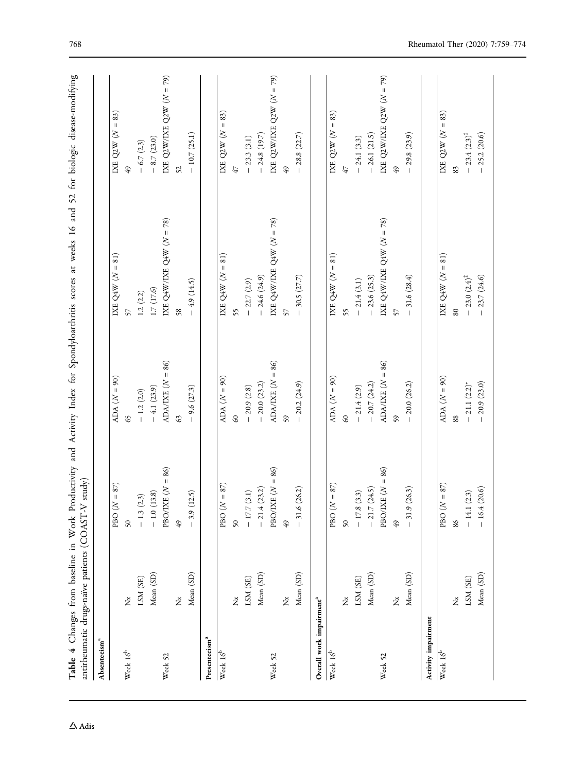<span id="page-9-0"></span>

| Absenteeism <sup>a</sup>             |           |                    |                    |                               |                            |
|--------------------------------------|-----------|--------------------|--------------------|-------------------------------|----------------------------|
|                                      |           | PBO $(N = 87)$     | ADA $(N = 90)$     | IXE Q4W $(N = 81)$            | IXE Q2W $(N = 83)$         |
| Week $16^{\rm b}$                    | ž         | $\sqrt{2}$         | S                  | 57                            | 49                         |
|                                      | LSM (SE)  | (2.3)<br>$-1.3($   | $-1.2(2.0)$        | 1.2(2.2)                      | $-6.7(2.3)$                |
|                                      | Mean (SD) | $-1.0(13.8)$       | $-4.1(23.9)$       | 1.7(17.6)                     | $-8.7(23.0)$               |
| Week 52                              |           | PBO/IXE $(N = 86)$ | ADA/IXE $(N = 86)$ | IXE Q4W/IXE Q4W $(N = 78)$    | IXE Q2W/IXE Q2W $(N = 79)$ |
|                                      | ž         | 49                 | $\mathcal{C}$      | 58                            | 52                         |
|                                      | Mean (SD) | (12.5)<br>$-3.9$   | $-9.6(27.3)$       | $-4.9(14.5)$                  | $-10.7(25.1)$              |
| Presenteeism <sup>a</sup>            |           |                    |                    |                               |                            |
| Week $16^{\rm b}$                    |           | PBO $(N = 87)$     | ADA $(N = 90)$     | IXE Q4W $(N = 81)$            | IXE Q2W $(N = 83)$         |
|                                      | ž         | $\overline{50}$    | $\mathcal{S}$      | 55                            | 47                         |
|                                      | LSM (SE)  | (3.1)<br>$-17.7\,$ | $-20.9(2.8)$       | $-22.7(2.9)$                  | $-23.3(3.1)$               |
|                                      | Mean (SD) | (23.2)<br>$-21.4$  | $-20.0(23.2)$      | $-24.6(24.9)$                 | $-24.8(19.7)$              |
| Week 52                              |           | PBO/IXE $(N = 86)$ | ADA/IXE $(N = 86)$ | IXE Q4W/IXE Q4W $(N = 78)$    | IXE Q2W/IXE Q2W $(N = 79)$ |
|                                      | ž         | 49                 | \$9                | 57                            | 49                         |
|                                      | Mean (SD) | (26.2)<br>$-31.6$  | $-20.2(24.9)$      | 30.5 $(27.7)$                 | 28.8(22.7)                 |
| Overall work impairment <sup>a</sup> |           |                    |                    |                               |                            |
| Week $16^{\rm b}$                    |           | PBO $(N = 87)$     | ADA $(N = 90)$     | IXE $Q4W (N = 81)$            | IXE Q2W $(N = 83)$         |
|                                      | ž         | $50\,$             | $\infty$           | 55                            | 47                         |
|                                      | LSM (SE)  | (3.3)<br>$-17.8$   | $-21.4(2.9)$       | $-21.4(3.1)$                  | $-24.1(3.3)$               |
|                                      | Mean (SD) | (24.5)<br>$-21.7$  | $-20.7(24.2)$      | $-23.6(25.3)$                 | $-26.1(21.5)$              |
| Week 52                              |           | PBO/IXE $(N = 86)$ | ADA/IXE $(N = 86)$ | IXE Q4W/IXE Q4W $(N = 78)$    | IXE Q2W/LXE Q2W $(N = 79)$ |
|                                      | ž         | 49                 | 59                 | 57                            | 49                         |
|                                      | Mean (SD) | (26.3)<br>$-31.9$  | $-20.0(26.2)$      | 31.6 $(28.4)$                 | 29.8 (23.9)                |
| Activity impairment                  |           |                    |                    |                               |                            |
| Week $16^{\circ}$                    |           | PBO $(N = 87)$     | ADA $(N = 90)$     | IXE $Q4W (N = 81)$            | IXE $Q2W (N = 83)$         |
|                                      | ž         | 86                 | 88                 | 80                            | 83                         |
|                                      | LSM (SE)  | (2.3)<br>$-14.1$   | $-21.1(2.2)$ *     | $-23.0 (2.4)^{\ddagger}$      | $-23.4 (2.3)^{\ddagger}$   |
|                                      | Mean (SD) | (20.6)<br>$-16.4$  | $-20.9(23.0)$      | 23.7 (24.6)<br>$\overline{1}$ | $-25.2(20.6)$              |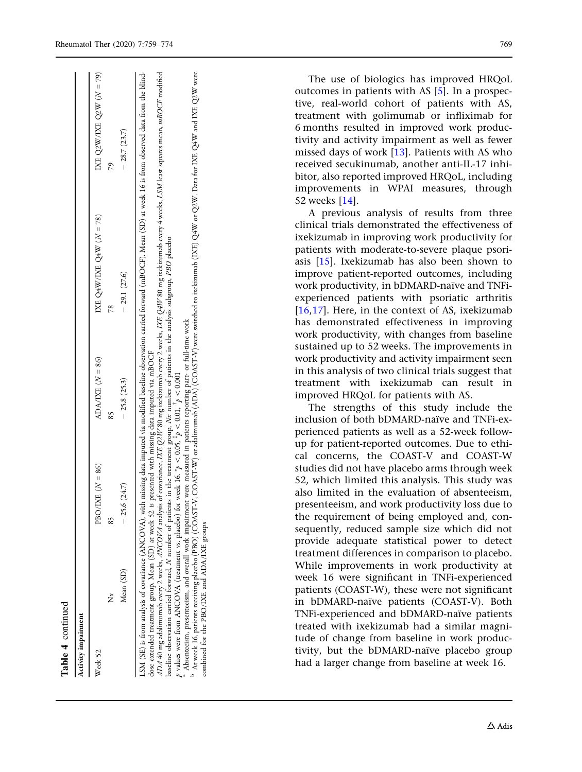| Activity impairment                                                                                                                                                                                                           |           |                                                                                                                                                                            |                                                                                                                                                    |                                                                                                                                                                                                                                                                                                                                                                                                                                                                                                                                                |                            |
|-------------------------------------------------------------------------------------------------------------------------------------------------------------------------------------------------------------------------------|-----------|----------------------------------------------------------------------------------------------------------------------------------------------------------------------------|----------------------------------------------------------------------------------------------------------------------------------------------------|------------------------------------------------------------------------------------------------------------------------------------------------------------------------------------------------------------------------------------------------------------------------------------------------------------------------------------------------------------------------------------------------------------------------------------------------------------------------------------------------------------------------------------------------|----------------------------|
| Week 52                                                                                                                                                                                                                       |           | PBO/IXE $(N = 86)$                                                                                                                                                         | ADA/IXE $(N = 86)$                                                                                                                                 | IXE Q4W/IXE Q4W $(N = 78)$                                                                                                                                                                                                                                                                                                                                                                                                                                                                                                                     | IXE Q2W/IXE Q2W $(N = 79)$ |
| ž                                                                                                                                                                                                                             |           | X                                                                                                                                                                          | 85                                                                                                                                                 | $\frac{8}{2}$                                                                                                                                                                                                                                                                                                                                                                                                                                                                                                                                  | 64                         |
|                                                                                                                                                                                                                               | Mean (SD) | (24.7)<br>$-25.6$                                                                                                                                                          | $-25.8(25.3)$                                                                                                                                      | $-29.1(27.6)$                                                                                                                                                                                                                                                                                                                                                                                                                                                                                                                                  | $-28.7(23.7)$              |
| baseline observation carried forward, N number of patients<br>Absenteeism, presenteeism, and overall work impairment<br>dose extended treatment group. Mean (SD) at week 52 is<br>combined for the PBO/IXE and ADA/IXE groups |           | presented with missing data imputed via mBOCF<br>p values were from ANCOVA (treatment vs. placebo) for week 16. $\gamma_p < 0.05$ , $\gamma_p < 0.01$ , $\gamma_p < 0.001$ | in the treatment group, Nx number of patients in the analysis subgroup, PBO placebo<br>were measured in patients reporting part- or full-time work | ADA 40 mg adalimumab every 2 weeks, ANCOVA analysis of covariance, IXE Q2HV 80 mg ixekizumab evely 4 weeks, ASM east squares mean, <i>mBOCF</i> modified<br>At week 16, patients receiving placebo (PBO) (COAST-V, COAST-W) or adalimumab (ADA) (COAST-V) were switched to ixekizumab (IXE) Q4W or Q2W. Data for IXE Q4W and IXE Q2W were<br>LSM (SE) is from analysis of covariance (ANCOVA), with missing data imputed via modified baseline observation carried forward (mBOCF). Mean (SD) at week 16 is from observed data from the blind- |                            |

Table 4 continued

**Table 4** continued

The use of biologics has improved HRQoL outcomes in patients with AS [[5\]](#page-14-0). In a prospective, real-world cohort of patients with AS, treatment with golimumab or infliximab for 6 months resulted in improved work productivity and activity impairment as well as fewer missed days of work [\[13\]](#page-14-0). Patients with AS who received secukinumab, another anti-IL-17 inhibitor, also reported improved HRQoL, including improvements in WPAI measures, through 52 weeks [[14](#page-14-0)].

A previous analysis of results from three clinical trials demonstrated the effectiveness of ixekizumab in improving work productivity for patients with moderate-to-severe plaque psoriasis [\[15\]](#page-14-0). Ixekizumab has also been shown to improve patient-reported outcomes, including work productivity, in bDMARD-naïve and TNFiexperienced patients with psoriatic arthritis [\[16,](#page-14-0)[17](#page-15-0)]. Here, in the context of AS, ixekizumab has demonstrated effectiveness in improving work productivity, with changes from baseline sustained up to 52 weeks. The improvements in work productivity and activity impairment seen in this analysis of two clinical trials suggest that treatment with ixekizumab can result in improved HRQoL for patients with AS.

The strengths of this study include the inclusion of both bDMARD-naïve and TNFi-experienced patients as well as a 52-week followup for patient-reported outcomes. Due to ethical concerns, the COAST-V and COAST-W studies did not have placebo arms through week 52, which limited this analysis. This study was also limited in the evaluation of absenteeism, presenteeism, and work productivity loss due to the requirement of being employed and, consequently, reduced sample size which did not provide adequate statistical power to detect treatment differences in comparison to placebo. While improvements in work productivity at week 16 were significant in TNFi-experienced patients (COAST-W), these were not significant in bDMARD-naïve patients (COAST-V). Both TNFi-experienced and bDMARD-naïve patients treated with ixekizumab had a similar magnitude of change from baseline in work productivity, but the bDMARD-naïve placebo group had a larger change from baseline at week 16.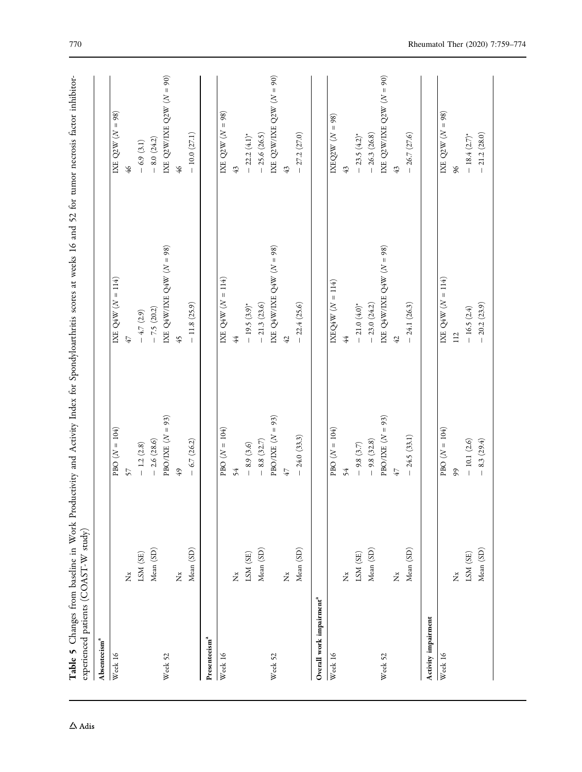<span id="page-11-0"></span>

| Absenteeism <sup>a</sup>             |                   |                    |                              |                              |
|--------------------------------------|-------------------|--------------------|------------------------------|------------------------------|
| Week 16                              |                   | $PBO (N = 104)$    | IXE Q4W $(N = 114)$          | IXE Q2W $(N = 98)$           |
|                                      | ž                 | 57                 | 47                           | $\frac{4}{6}$                |
|                                      | LSM (SE)          | $-1.2(2.8)$        | $-4.7(2.9)$                  | $-6.9(3.1)$                  |
|                                      | Mean (SD)         | $-2.6(28.6)$       | $-7.5(20.2)$                 | $-8.0(24.2)$                 |
| Week 52                              |                   | PBO/IXE $(N = 93)$ | IXE Q4W/IXE Q4W $(N = 98)$   | IXE Q2W/LXE Q2W $(N = 90)$   |
|                                      | $\breve{\vec{z}}$ | $49$               | 45                           | $\frac{46}{5}$               |
|                                      | Mean (SD)         | 6.7(26.2)          | $-11.8(25.9)$                | $-10.0(27.1)$                |
| Presenteeism <sup>a</sup>            |                   |                    |                              |                              |
| Week 16                              |                   | $PBO (N = 104)$    | IXE Q4W $(N = 114)$          | IXE Q2W $(N = 98)$           |
|                                      | ž                 | 54                 | 4                            | 43                           |
|                                      | LSM (SE)          | $-8.9(3.6)$        | $-19.5(3.9)^{*}$             | $-22.2(4.1)$ *               |
|                                      | Mean (SD)         | $-8.8(32.7)$       | $-21.3(23.6)$                | $-25.6(26.5)$                |
| Week 52                              |                   | PBO/IXE $(N = 93)$ | IXE Q4W/IXE Q4W $(N = 98)$   | IXE Q2W/IXE Q2W $(N = 90)$   |
|                                      | ž                 | 47                 | 42                           | 43                           |
|                                      | Mean (SD)         | $-24.0(33.3)$      | $-22.4(25.6)$                | $-27.2(27.0)$                |
| Overall work impairment <sup>a</sup> |                   |                    |                              |                              |
| Week 16                              |                   | PBO $(N = 104)$    | $IXEQ4W (N = 114)$           | IXEQ2W $(N = 98)$            |
|                                      | Ž                 | 54                 | 44                           | 43                           |
|                                      | LSM (SE)          | $-9.8(3.7)$        | $-21.0(4.0)^*$               | $-23.5(4.2)^{*}$             |
|                                      | Mean (SD)         | $-9.8(32.8)$       | $-23.0(24.2)$                | $-26.3(26.8)$                |
| Week 52                              |                   | PBO/IXE $(N = 93)$ | IXE Q4W/IXE Q4W (N = 98)     | IXE Q2W/LXE Q2W ( $N = 90$ ) |
|                                      | Ž                 | $47$               | 42                           | 43                           |
|                                      | Mean (SD)         | $-24.5(33.1)$      | $-24.1(26.3)$                | $-26.7(27.6)$                |
| Activity impairment                  |                   |                    |                              |                              |
| Week 16                              |                   | PBO $(N = 104)$    | IXE $\mathrm{Q4W}$ $(N=114)$ | IXE Q2W $(N = 98)$           |
|                                      | ž                 | 99                 | 112                          | 96                           |
|                                      | LSM (SE)          | $-10.1(2.6)$       | $-16.5(2.4)$                 | $-18.4(2.7)$ *               |
|                                      | Mean (SD)         | 8.3(29.4)          | $-20.2(23.9)$                | $-21.2(28.0)$                |

 $\Delta$ Adis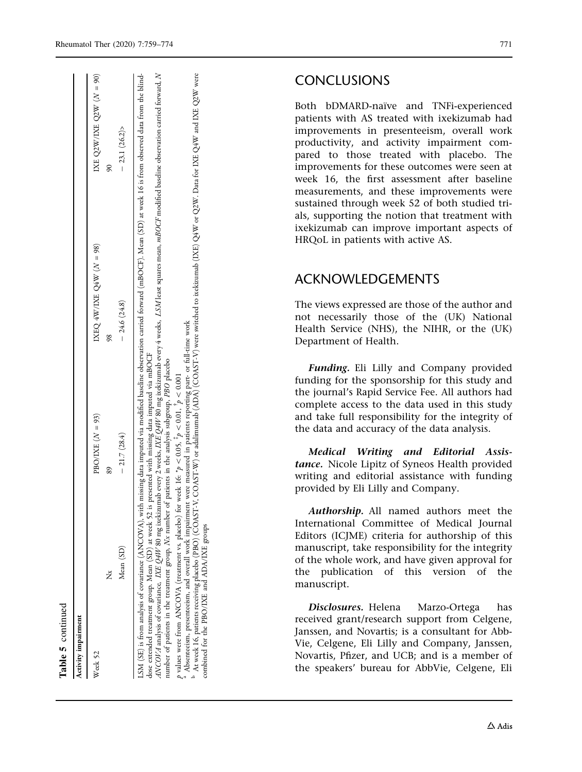$90)$ 

N

lind-

## CONCLUSIONS

Both bDMARD-naïve and TNFi-experienced patients with AS treated with ixekizumab had improvements in presenteeism, overall work productivity, and activity impairment compared to those treated with placebo. The improvements for these outcomes were seen at week 16, the first assessment after baseline measurements, and these improvements were sustained through week 52 of both studied trials, supporting the notion that treatment with ixekizumab can improve important aspects of HRQoL in patients with active AS.

## ACKNOWLEDGEMENTS

The views expressed are those of the author and not necessarily those of the (UK) National Health Service (NHS), the NIHR, or the (UK) Department of Health.

Funding. Eli Lilly and Company provided funding for the sponsorship for this study and the journal's Rapid Service Fee. All authors had complete access to the data used in this study and take full responsibility for the integrity of the data and accuracy of the data analysis.

Medical Writing and Editorial Assistance. Nicole Lipitz of Syneos Health provided writing and editorial assistance with funding provided by Eli Lilly and Company.

Authorship. All named authors meet the International Committee of Medical Journal Editors (ICJME) criteria for authorship of this manuscript, take responsibility for the integrity of the whole work, and have given approval for the publication of this version of the manuscript.

Disclosures. Helena Marzo-Ortega has received grant/research support from Celgene, Janssen, and Novartis; is a consultant for Abb-Vie, Celgene, Eli Lilly and Company, Janssen, Novartis, Pfizer, and UCB; and is a member of the speakers' bureau for AbbVie, Celgene, Eli

| Activity impairment |                                                   |                                                                                                                                                                                                                |                                                                                                                                                                                                             |                            |
|---------------------|---------------------------------------------------|----------------------------------------------------------------------------------------------------------------------------------------------------------------------------------------------------------------|-------------------------------------------------------------------------------------------------------------------------------------------------------------------------------------------------------------|----------------------------|
| Week 52             |                                                   | PBO/LXE $(N = 93)$                                                                                                                                                                                             | IXEQ 4W/IXE Q4W $(N = 98)$                                                                                                                                                                                  | IXE Q2W/IXE Q2W $(N = 90)$ |
|                     | ž                                                 | 89                                                                                                                                                                                                             |                                                                                                                                                                                                             |                            |
|                     | Mean (SD)                                         | $-21.7(28.4)$                                                                                                                                                                                                  | $-24.6(24.8)$                                                                                                                                                                                               | $-23.1(26.2)$              |
|                     |                                                   |                                                                                                                                                                                                                | LSM (SE) is from analysis of covariance (ANCOVA), with missing data imputed via modified baseline observation carried forward (mBOCF). Mean (SD) at week 16 is from observed data from the blind-           |                            |
|                     |                                                   | dose extended treatment group. Mean (SD) at week 52 is presented with missing data imputed via mBOCF<br>number of patients in the treatment group, Nx number of patients in the analysis subgroup, PBO placebo | ANCOVA analysis of covariance, <i>IXE Q4W</i> 80 mg ixekizumab every 2 weeks, IXE Q4W 80 mg ixekizumab every 4 weeks, LSM least squares mean, <i>mBOCF</i> modified baseline observation carried forward, N |                            |
|                     | p values were from ANCOVA (treatment vs. placebo) | for week 16: $*_{p} < 0.05$ , $*_{p} < 0.01$ , $*_{p} < 0.001$                                                                                                                                                 |                                                                                                                                                                                                             |                            |

<sup>a</sup> Absentetism, presentetism, and overall work impairment were measured in patients reporting part- or full-time work<br><sup>b</sup> At week 16. patients receiving placebo (PBO) (COAST-V, COAST-W) or adalimumab (ADA) (COAST-V) were

a

combined for the PBO/IXE and ADA/IXE groups

combined

Table 5 continued

l'able 5 continued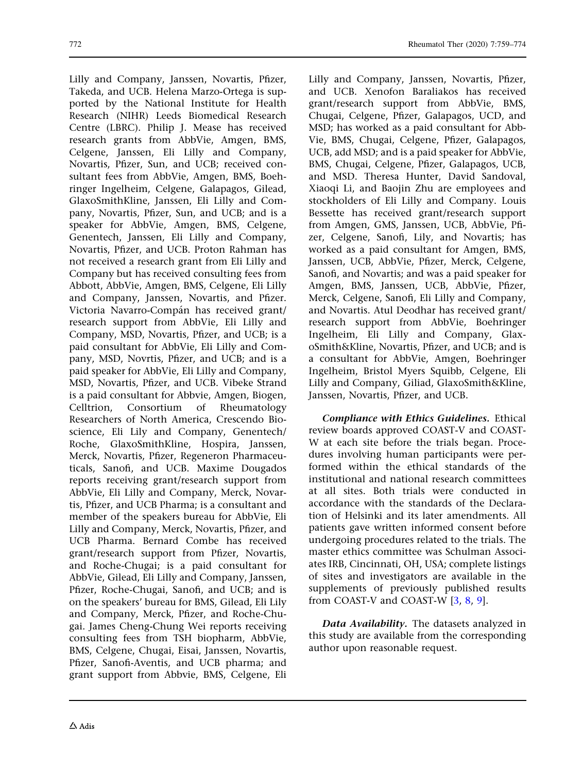Lilly and Company, Janssen, Novartis, Pfizer, Takeda, and UCB. Helena Marzo-Ortega is supported by the National Institute for Health Research (NIHR) Leeds Biomedical Research Centre (LBRC). Philip J. Mease has received research grants from AbbVie, Amgen, BMS, Celgene, Janssen, Eli Lilly and Company, Novartis, Pfizer, Sun, and UCB; received consultant fees from AbbVie, Amgen, BMS, Boehringer Ingelheim, Celgene, Galapagos, Gilead, GlaxoSmithKline, Janssen, Eli Lilly and Company, Novartis, Pfizer, Sun, and UCB; and is a speaker for AbbVie, Amgen, BMS, Celgene, Genentech, Janssen, Eli Lilly and Company, Novartis, Pfizer, and UCB. Proton Rahman has not received a research grant from Eli Lilly and Company but has received consulting fees from Abbott, AbbVie, Amgen, BMS, Celgene, Eli Lilly and Company, Janssen, Novartis, and Pfizer. Victoria Navarro-Compán has received grant/ research support from AbbVie, Eli Lilly and Company, MSD, Novartis, Pfizer, and UCB; is a paid consultant for AbbVie, Eli Lilly and Company, MSD, Novrtis, Pfizer, and UCB; and is a paid speaker for AbbVie, Eli Lilly and Company, MSD, Novartis, Pfizer, and UCB. Vibeke Strand is a paid consultant for Abbvie, Amgen, Biogen, Celltrion, Consortium of Rheumatology Researchers of North America, Crescendo Bioscience, Eli Lily and Company, Genentech/ Roche, GlaxoSmithKline, Hospira, Janssen, Merck, Novartis, Pfizer, Regeneron Pharmaceuticals, Sanofi, and UCB. Maxime Dougados reports receiving grant/research support from AbbVie, Eli Lilly and Company, Merck, Novartis, Pfizer, and UCB Pharma; is a consultant and member of the speakers bureau for AbbVie, Eli Lilly and Company, Merck, Novartis, Pfizer, and UCB Pharma. Bernard Combe has received grant/research support from Pfizer, Novartis, and Roche-Chugai; is a paid consultant for AbbVie, Gilead, Eli Lilly and Company, Janssen, Pfizer, Roche-Chugai, Sanofi, and UCB; and is on the speakers' bureau for BMS, Gilead, Eli Lily and Company, Merck, Pfizer, and Roche-Chugai. James Cheng-Chung Wei reports receiving consulting fees from TSH biopharm, AbbVie, BMS, Celgene, Chugai, Eisai, Janssen, Novartis, Pfizer, Sanofi-Aventis, and UCB pharma; and grant support from Abbvie, BMS, Celgene, Eli

Lilly and Company, Janssen, Novartis, Pfizer, and UCB. Xenofon Baraliakos has received grant/research support from AbbVie, BMS, Chugai, Celgene, Pfizer, Galapagos, UCD, and MSD; has worked as a paid consultant for Abb-Vie, BMS, Chugai, Celgene, Pfizer, Galapagos, UCB, add MSD; and is a paid speaker for AbbVie, BMS, Chugai, Celgene, Pfizer, Galapagos, UCB, and MSD. Theresa Hunter, David Sandoval, Xiaoqi Li, and Baojin Zhu are employees and stockholders of Eli Lilly and Company. Louis Bessette has received grant/research support from Amgen, GMS, Janssen, UCB, AbbVie, Pfizer, Celgene, Sanofi, Lily, and Novartis; has worked as a paid consultant for Amgen, BMS, Janssen, UCB, AbbVie, Pfizer, Merck, Celgene, Sanofi, and Novartis; and was a paid speaker for Amgen, BMS, Janssen, UCB, AbbVie, Pfizer, Merck, Celgene, Sanofi, Eli Lilly and Company, and Novartis. Atul Deodhar has received grant/ research support from AbbVie, Boehringer Ingelheim, Eli Lilly and Company, GlaxoSmith&Kline, Novartis, Pfizer, and UCB; and is a consultant for AbbVie, Amgen, Boehringer Ingelheim, Bristol Myers Squibb, Celgene, Eli

Compliance with Ethics Guidelines. Ethical review boards approved COAST-V and COAST-W at each site before the trials began. Procedures involving human participants were performed within the ethical standards of the institutional and national research committees at all sites. Both trials were conducted in accordance with the standards of the Declaration of Helsinki and its later amendments. All patients gave written informed consent before undergoing procedures related to the trials. The master ethics committee was Schulman Associates IRB, Cincinnati, OH, USA; complete listings of sites and investigators are available in the supplements of previously published results from COAST-V and COAST-W [\[3,](#page-14-0) [8,](#page-14-0) [9\]](#page-14-0).

Lilly and Company, Giliad, GlaxoSmith&Kline,

Janssen, Novartis, Pfizer, and UCB.

Data Availability. The datasets analyzed in this study are available from the corresponding author upon reasonable request.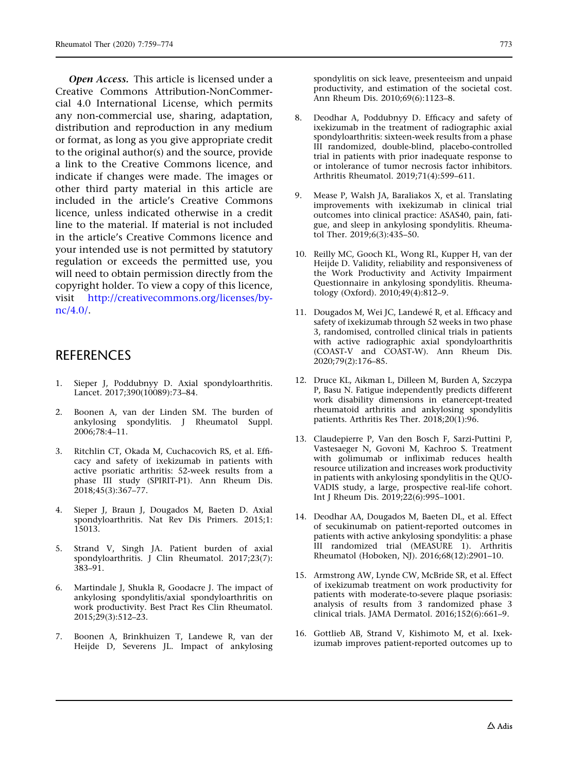<span id="page-14-0"></span>Open Access. This article is licensed under a Creative Commons Attribution-NonCommercial 4.0 International License, which permits any non-commercial use, sharing, adaptation, distribution and reproduction in any medium or format, as long as you give appropriate credit to the original author(s) and the source, provide a link to the Creative Commons licence, and indicate if changes were made. The images or other third party material in this article are included in the article's Creative Commons licence, unless indicated otherwise in a credit line to the material. If material is not included in the article's Creative Commons licence and your intended use is not permitted by statutory regulation or exceeds the permitted use, you will need to obtain permission directly from the copyright holder. To view a copy of this licence, visit [http://creativecommons.org/licenses/by](http://creativecommons.org/licenses/by-nc/4.0/)[nc/4.0/](http://creativecommons.org/licenses/by-nc/4.0/).

### **REFERENCES**

- 1. Sieper J, Poddubnyy D. Axial spondyloarthritis. Lancet. 2017;390(10089):73–84.
- 2. Boonen A, van der Linden SM. The burden of ankylosing spondylitis. J Rheumatol Suppl. 2006;78:4–11.
- 3. Ritchlin CT, Okada M, Cuchacovich RS, et al. Efficacy and safety of ixekizumab in patients with active psoriatic arthritis: 52-week results from a phase III study (SPIRIT-P1). Ann Rheum Dis. 2018;45(3):367–77.
- 4. Sieper J, Braun J, Dougados M, Baeten D. Axial spondyloarthritis. Nat Rev Dis Primers. 2015;1: 15013.
- 5. Strand V, Singh JA. Patient burden of axial spondyloarthritis. J Clin Rheumatol. 2017;23(7): 383–91.
- 6. Martindale J, Shukla R, Goodacre J. The impact of ankylosing spondylitis/axial spondyloarthritis on work productivity. Best Pract Res Clin Rheumatol. 2015;29(3):512–23.
- 7. Boonen A, Brinkhuizen T, Landewe R, van der Heijde D, Severens JL. Impact of ankylosing

spondylitis on sick leave, presenteeism and unpaid productivity, and estimation of the societal cost. Ann Rheum Dis. 2010;69(6):1123–8.

- 8. Deodhar A, Poddubnyy D. Efficacy and safety of ixekizumab in the treatment of radiographic axial spondyloarthritis: sixteen-week results from a phase III randomized, double-blind, placebo-controlled trial in patients with prior inadequate response to or intolerance of tumor necrosis factor inhibitors. Arthritis Rheumatol. 2019;71(4):599–611.
- 9. Mease P, Walsh JA, Baraliakos X, et al. Translating improvements with ixekizumab in clinical trial outcomes into clinical practice: ASAS40, pain, fatigue, and sleep in ankylosing spondylitis. Rheumatol Ther. 2019;6(3):435–50.
- 10. Reilly MC, Gooch KL, Wong RL, Kupper H, van der Heijde D. Validity, reliability and responsiveness of the Work Productivity and Activity Impairment Questionnaire in ankylosing spondylitis. Rheumatology (Oxford). 2010;49(4):812–9.
- 11. Dougados M, Wei JC, Landewé R, et al. Efficacy and safety of ixekizumab through 52 weeks in two phase 3, randomised, controlled clinical trials in patients with active radiographic axial spondyloarthritis (COAST-V and COAST-W). Ann Rheum Dis. 2020;79(2):176–85.
- 12. Druce KL, Aikman L, Dilleen M, Burden A, Szczypa P, Basu N. Fatigue independently predicts different work disability dimensions in etanercept-treated rheumatoid arthritis and ankylosing spondylitis patients. Arthritis Res Ther.  $2018;20(1):96$ .
- 13. Claudepierre P, Van den Bosch F, Sarzi-Puttini P, Vastesaeger N, Govoni M, Kachroo S. Treatment with golimumab or infliximab reduces health resource utilization and increases work productivity in patients with ankylosing spondylitis in the QUO-VADIS study, a large, prospective real-life cohort. Int J Rheum Dis. 2019;22(6):995–1001.
- 14. Deodhar AA, Dougados M, Baeten DL, et al. Effect of secukinumab on patient-reported outcomes in patients with active ankylosing spondylitis: a phase III randomized trial (MEASURE 1). Arthritis Rheumatol (Hoboken, NJ). 2016;68(12):2901–10.
- 15. Armstrong AW, Lynde CW, McBride SR, et al. Effect of ixekizumab treatment on work productivity for patients with moderate-to-severe plaque psoriasis: analysis of results from 3 randomized phase 3 clinical trials. JAMA Dermatol. 2016;152(6):661–9.
- 16. Gottlieb AB, Strand V, Kishimoto M, et al. Ixekizumab improves patient-reported outcomes up to